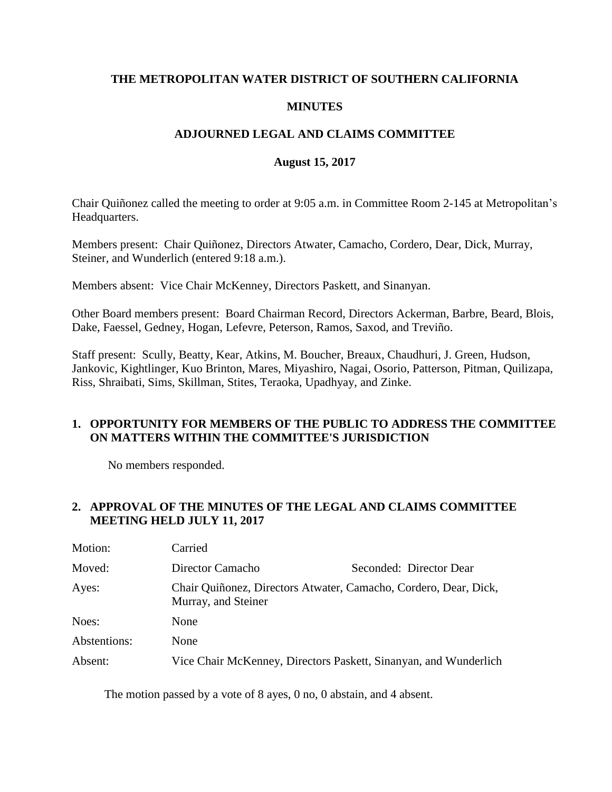## **THE METROPOLITAN WATER DISTRICT OF SOUTHERN CALIFORNIA**

## **MINUTES**

## **ADJOURNED LEGAL AND CLAIMS COMMITTEE**

### **August 15, 2017**

Chair Quiñonez called the meeting to order at 9:05 a.m. in Committee Room 2-145 at Metropolitan's Headquarters.

Members present: Chair Quiñonez, Directors Atwater, Camacho, Cordero, Dear, Dick, Murray, Steiner, and Wunderlich (entered 9:18 a.m.).

Members absent: Vice Chair McKenney, Directors Paskett, and Sinanyan.

Other Board members present: Board Chairman Record, Directors Ackerman, Barbre, Beard, Blois, Dake, Faessel, Gedney, Hogan, Lefevre, Peterson, Ramos, Saxod, and Treviño.

Staff present: Scully, Beatty, Kear, Atkins, M. Boucher, Breaux, Chaudhuri, J. Green, Hudson, Jankovic, Kightlinger, Kuo Brinton, Mares, Miyashiro, Nagai, Osorio, Patterson, Pitman, Quilizapa, Riss, Shraibati, Sims, Skillman, Stites, Teraoka, Upadhyay, and Zinke.

## **1. OPPORTUNITY FOR MEMBERS OF THE PUBLIC TO ADDRESS THE COMMITTEE ON MATTERS WITHIN THE COMMITTEE'S JURISDICTION**

No members responded.

## **2. APPROVAL OF THE MINUTES OF THE LEGAL AND CLAIMS COMMITTEE MEETING HELD JULY 11, 2017**

| Motion:      | Carried                                                                                 |                         |
|--------------|-----------------------------------------------------------------------------------------|-------------------------|
| Moved:       | Director Camacho                                                                        | Seconded: Director Dear |
| Ayes:        | Chair Quiñonez, Directors Atwater, Camacho, Cordero, Dear, Dick,<br>Murray, and Steiner |                         |
| Noes:        | None                                                                                    |                         |
| Abstentions: | None                                                                                    |                         |
| Absent:      | Vice Chair McKenney, Directors Paskett, Sinanyan, and Wunderlich                        |                         |

The motion passed by a vote of 8 ayes, 0 no, 0 abstain, and 4 absent.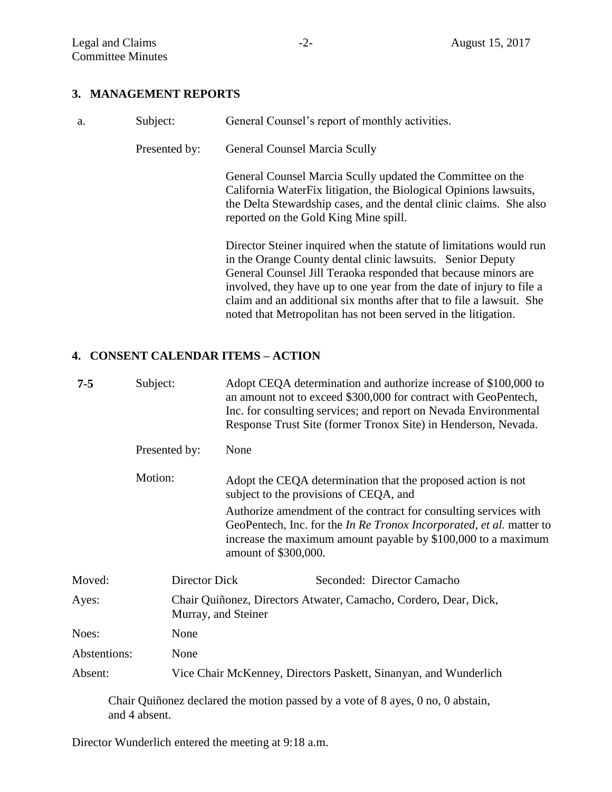## **3. MANAGEMENT REPORTS**

| a. | Subject:      | General Counsel's report of monthly activities.                                                                                                                                                                                                                                                                                                                                                                       |
|----|---------------|-----------------------------------------------------------------------------------------------------------------------------------------------------------------------------------------------------------------------------------------------------------------------------------------------------------------------------------------------------------------------------------------------------------------------|
|    | Presented by: | <b>General Counsel Marcia Scully</b>                                                                                                                                                                                                                                                                                                                                                                                  |
|    |               | General Counsel Marcia Scully updated the Committee on the<br>California WaterFix litigation, the Biological Opinions lawsuits,<br>the Delta Stewardship cases, and the dental clinic claims. She also<br>reported on the Gold King Mine spill.                                                                                                                                                                       |
|    |               | Director Steiner inquired when the statute of limitations would run<br>in the Orange County dental clinic lawsuits. Senior Deputy<br>General Counsel Jill Teraoka responded that because minors are<br>involved, they have up to one year from the date of injury to file a<br>claim and an additional six months after that to file a lawsuit. She<br>noted that Metropolitan has not been served in the litigation. |

## **4. CONSENT CALENDAR ITEMS – ACTION**

| $7 - 5$      | Subject:             |                                                                                         | Adopt CEQA determination and authorize increase of \$100,000 to<br>an amount not to exceed \$300,000 for contract with GeoPentech,<br>Inc. for consulting services; and report on Nevada Environmental<br>Response Trust Site (former Tronox Site) in Henderson, Nevada. |  |
|--------------|----------------------|-----------------------------------------------------------------------------------------|--------------------------------------------------------------------------------------------------------------------------------------------------------------------------------------------------------------------------------------------------------------------------|--|
|              | Presented by:        | None                                                                                    |                                                                                                                                                                                                                                                                          |  |
|              | Motion:              |                                                                                         | Adopt the CEQA determination that the proposed action is not<br>subject to the provisions of CEQA, and                                                                                                                                                                   |  |
|              |                      |                                                                                         | Authorize amendment of the contract for consulting services with<br>GeoPentech, Inc. for the In Re Tronox Incorporated, et al. matter to<br>increase the maximum amount payable by \$100,000 to a maximum<br>amount of \$300,000.                                        |  |
| Moved:       | <b>Director Dick</b> |                                                                                         | Seconded: Director Camacho                                                                                                                                                                                                                                               |  |
| Ayes:        |                      | Chair Quiñonez, Directors Atwater, Camacho, Cordero, Dear, Dick,<br>Murray, and Steiner |                                                                                                                                                                                                                                                                          |  |
| Noes:        | None                 |                                                                                         |                                                                                                                                                                                                                                                                          |  |
| Abstentions: | None                 |                                                                                         |                                                                                                                                                                                                                                                                          |  |
| Absent:      |                      | Vice Chair McKenney, Directors Paskett, Sinanyan, and Wunderlich                        |                                                                                                                                                                                                                                                                          |  |

Chair Quiñonez declared the motion passed by a vote of 8 ayes, 0 no, 0 abstain, and 4 absent.

Director Wunderlich entered the meeting at 9:18 a.m.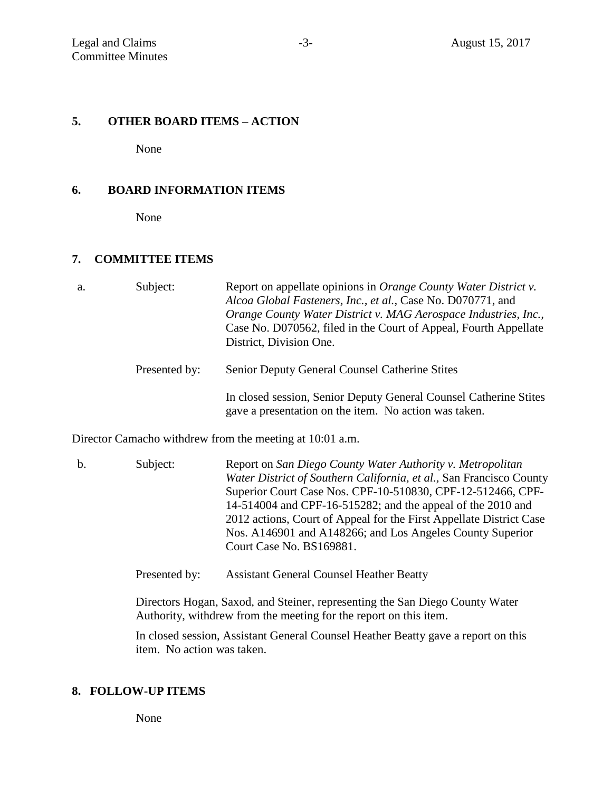### **5. OTHER BOARD ITEMS – ACTION**

None

### **6. BOARD INFORMATION ITEMS**

None

### **7. COMMITTEE ITEMS**

| a. | Subject:      | Report on appellate opinions in <i>Orange County Water District v.</i><br>Alcoa Global Fasteners, Inc., et al., Case No. D070771, and<br>Orange County Water District v. MAG Aerospace Industries, Inc.,<br>Case No. D070562, filed in the Court of Appeal, Fourth Appellate<br>District, Division One. |
|----|---------------|---------------------------------------------------------------------------------------------------------------------------------------------------------------------------------------------------------------------------------------------------------------------------------------------------------|
|    | Presented by: | <b>Senior Deputy General Counsel Catherine Stites</b>                                                                                                                                                                                                                                                   |
|    |               | In closed session, Senior Deputy General Counsel Catherine Stites<br>gave a presentation on the item. No action was taken.                                                                                                                                                                              |
|    |               | Director Camacho withdrew from the meeting at 10:01 a.m.                                                                                                                                                                                                                                                |

b. Subject: Report on *San Diego County Water Authority v. Metropolitan Water District of Southern California, et al.,* San Francisco County Superior Court Case Nos. CPF-10-510830, CPF-12-512466, CPF-14-514004 and CPF-16-515282; and the appeal of the 2010 and 2012 actions, Court of Appeal for the First Appellate District Case Nos. A146901 and A148266; and Los Angeles County Superior Court Case No. BS169881.

Presented by: Assistant General Counsel Heather Beatty

Directors Hogan, Saxod, and Steiner, representing the San Diego County Water Authority, withdrew from the meeting for the report on this item.

In closed session, Assistant General Counsel Heather Beatty gave a report on this item. No action was taken.

#### **8. FOLLOW-UP ITEMS**

None